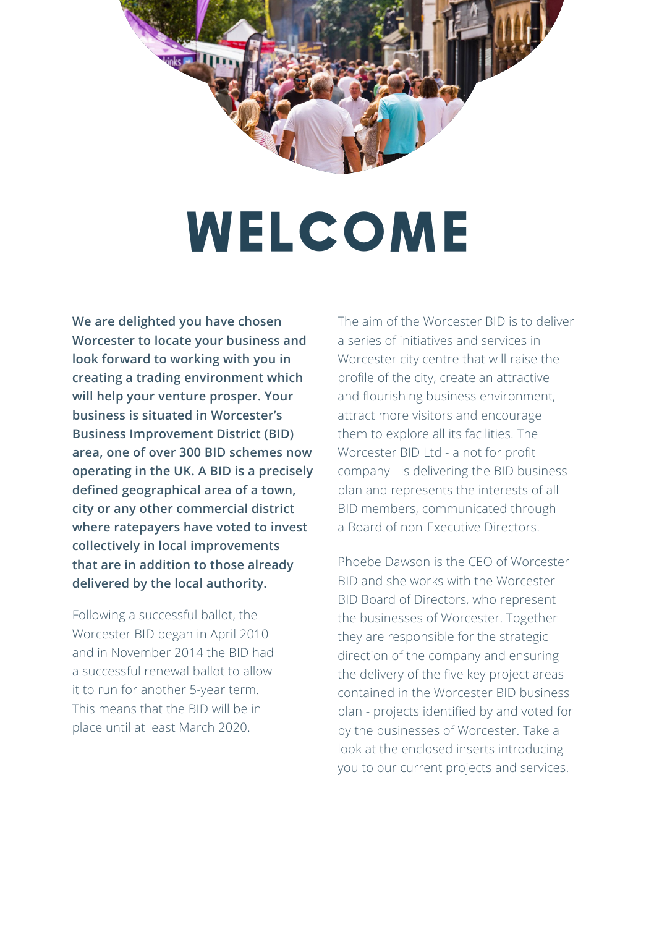

## **WELCOME**

**We are delighted you have chosen Worcester to locate your business and look forward to working with you in creating a trading environment which will help your venture prosper. Your business is situated in Worcester's Business Improvement District (BID) area, one of over 300 BID schemes now operating in the UK. A BID is a precisely defined geographical area of a town, city or any other commercial district where ratepayers have voted to invest collectively in local improvements that are in addition to those already delivered by the local authority.** 

Following a successful ballot, the Worcester BID began in April 2010 and in November 2014 the BID had a successful renewal ballot to allow it to run for another 5-year term. This means that the BID will be in place until at least March 2020.

The aim of the Worcester BID is to deliver a series of initiatives and services in Worcester city centre that will raise the profile of the city, create an attractive and flourishing business environment, attract more visitors and encourage them to explore all its facilities. The Worcester BID Ltd - a not for profit company - is delivering the BID business plan and represents the interests of all BID members, communicated through a Board of non-Executive Directors.

Phoebe Dawson is the CEO of Worcester BID and she works with the Worcester BID Board of Directors, who represent the businesses of Worcester. Together they are responsible for the strategic direction of the company and ensuring the delivery of the five key project areas contained in the Worcester BID business plan - projects identified by and voted for by the businesses of Worcester. Take a look at the enclosed inserts introducing you to our current projects and services.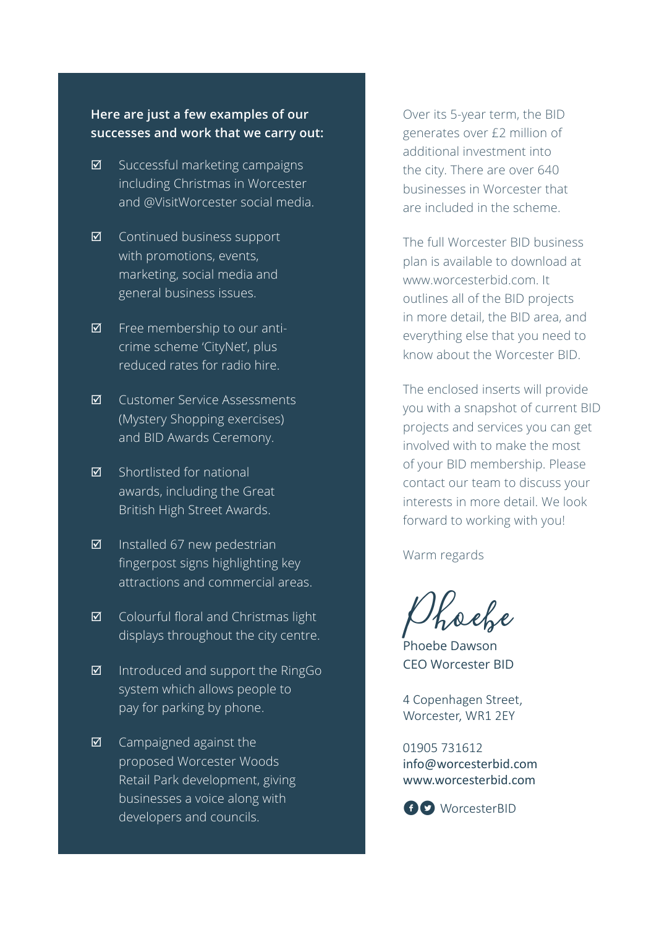### **Here are just a few examples of our successes and work that we carry out:**

- $\boxtimes$  Successful marketing campaigns including Christmas in Worcester and @VisitWorcester social media.
- $\boxtimes$  Continued business support with promotions, events, marketing, social media and general business issues.
- $\boxtimes$  Free membership to our anticrime scheme 'CityNet', plus reduced rates for radio hire.
- **Ø** Customer Service Assessments (Mystery Shopping exercises) and BID Awards Ceremony.
- $\boxtimes$  Shortlisted for national awards, including the Great British High Street Awards.
- $\boxtimes$  Installed 67 new pedestrian fingerpost signs highlighting key attractions and commercial areas.
- $\boxtimes$  Colourful floral and Christmas light displays throughout the city centre.
- $\boxtimes$  Introduced and support the RingGo system which allows people to pay for parking by phone.
- $\boxtimes$  Campaigned against the proposed Worcester Woods Retail Park development, giving businesses a voice along with developers and councils.

Over its 5-year term, the BID generates over £2 million of additional investment into the city. There are over 640 businesses in Worcester that are included in the scheme.

The full Worcester BID business plan is available to download at www.worcesterbid.com. It outlines all of the BID projects in more detail, the BID area, and everything else that you need to know about the Worcester BID.

The enclosed inserts will provide you with a snapshot of current BID projects and services you can get involved with to make the most of your BID membership. Please contact our team to discuss your interests in more detail. We look forward to working with you!

Warm regards

Phoebe Phoebe Dawson

CEO Worcester BID

4 Copenhagen Street, Worcester, WR1 2EY

01905 731612 info@worcesterbid.com www.worcesterbid.com

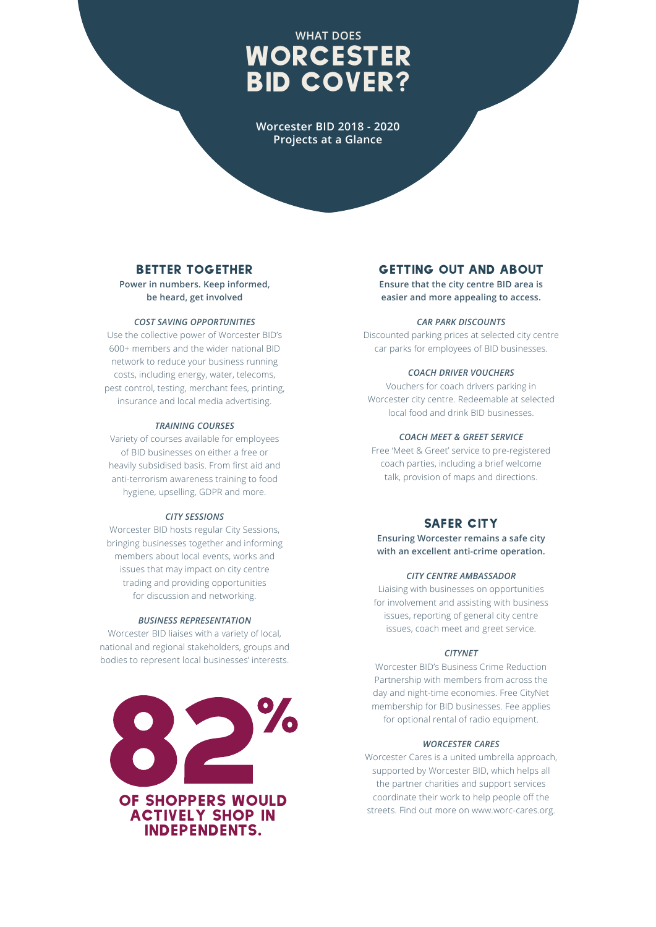## **WHAT DOES**  WORCESTER BID COVER?

**Worcester BID 2018 - 2020 Projects at a Glance**

### Better Together

**Power in numbers. Keep informed, be heard, get involved**

### *COST SAVING OPPORTUNITIES*

Use the collective power of Worcester BID's 600+ members and the wider national BID network to reduce your business running costs, including energy, water, telecoms, pest control, testing, merchant fees, printing, insurance and local media advertising.

### *TRAINING COURSES*

Variety of courses available for employees of BID businesses on either a free or heavily subsidised basis. From first aid and anti-terrorism awareness training to food hygiene, upselling, GDPR and more.

### *CITY SESSIONS*

Worcester BID hosts regular City Sessions, bringing businesses together and informing members about local events, works and issues that may impact on city centre trading and providing opportunities for discussion and networking.

### *BUSINESS REPRESENTATION*

Worcester BID liaises with a variety of local, national and regional stakeholders, groups and bodies to represent local businesses' interests.



### Getting Out and About

**Ensure that the city centre BID area is easier and more appealing to access.**

### *CAR PARK DISCOUNTS*

Discounted parking prices at selected city centre car parks for employees of BID businesses.

### *COACH DRIVER VOUCHERS*

Vouchers for coach drivers parking in Worcester city centre. Redeemable at selected local food and drink BID businesses.

### *COACH MEET & GREET SERVICE*

Free 'Meet & Greet' service to pre-registered coach parties, including a brief welcome talk, provision of maps and directions.

### SAFER CITY

**Ensuring Worcester remains a safe city with an excellent anti-crime operation.** 

### *CITY CENTRE AMBASSADOR*

Liaising with businesses on opportunities for involvement and assisting with business issues, reporting of general city centre issues, coach meet and greet service.

### *CITYNET*

Worcester BID's Business Crime Reduction Partnership with members from across the day and night-time economies. Free CityNet membership for BID businesses. Fee applies for optional rental of radio equipment.

### *WORCESTER CARES*

Worcester Cares is a united umbrella approach, supported by Worcester BID, which helps all the partner charities and support services coordinate their work to help people off the streets. Find out more on www.worc-cares.org.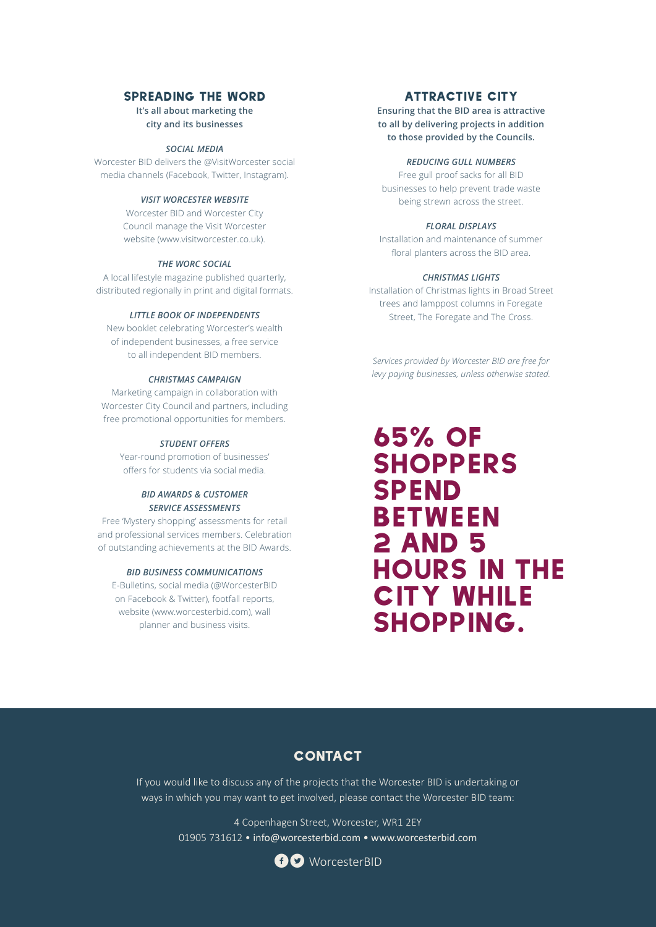### Spreading the Word

**It's all about marketing the city and its businesses**

### *SOCIAL MEDIA*

Worcester BID delivers the @VisitWorcester social media channels (Facebook, Twitter, Instagram).

### *VISIT WORCESTER WEBSITE*

Worcester BID and Worcester City Council manage the Visit Worcester website (www.visitworcester.co.uk).

### *THE WORC SOCIAL*

A local lifestyle magazine published quarterly, distributed regionally in print and digital formats.

### *LITTLE BOOK OF INDEPENDENTS*

New booklet celebrating Worcester's wealth of independent businesses, a free service to all independent BID members.

### *CHRISTMAS CAMPAIGN*

Marketing campaign in collaboration with Worcester City Council and partners, including free promotional opportunities for members.

### *STUDENT OFFERS*

Year-round promotion of businesses' offers for students via social media.

### *BID AWARDS & CUSTOMER SERVICE ASSESSMENTS*

Free 'Mystery shopping' assessments for retail and professional services members. Celebration of outstanding achievements at the BID Awards.

### *BID BUSINESS COMMUNICATIONS*

E-Bulletins, social media (@WorcesterBID on Facebook & Twitter), footfall reports, website (www.worcesterbid.com), wall planner and business visits.

### Attractive City

**Ensuring that the BID area is attractive to all by delivering projects in addition to those provided by the Councils.**

### *REDUCING GULL NUMBERS*

Free gull proof sacks for all BID businesses to help prevent trade waste being strewn across the street.

### *FLORAL DISPLAYS*

Installation and maintenance of summer floral planters across the BID area.

### *CHRISTMAS LIGHTS*

Installation of Christmas lights in Broad Street trees and lamppost columns in Foregate Street, The Foregate and The Cross.

*Services provided by Worcester BID are free for levy paying businesses, unless otherwise stated.*

## 65% of **SHOPPERS SPEND BETWEEN** 2 AND 5 hours in the **CITY WHILE** shopping.

### **CONTACT**

If you would like to discuss any of the projects that the Worcester BID is undertaking or ways in which you may want to get involved, please contact the Worcester BID team:

> 4 Copenhagen Street, Worcester, WR1 2EY 01905 731612 • info@worcesterbid.com • www.worcesterbid.com

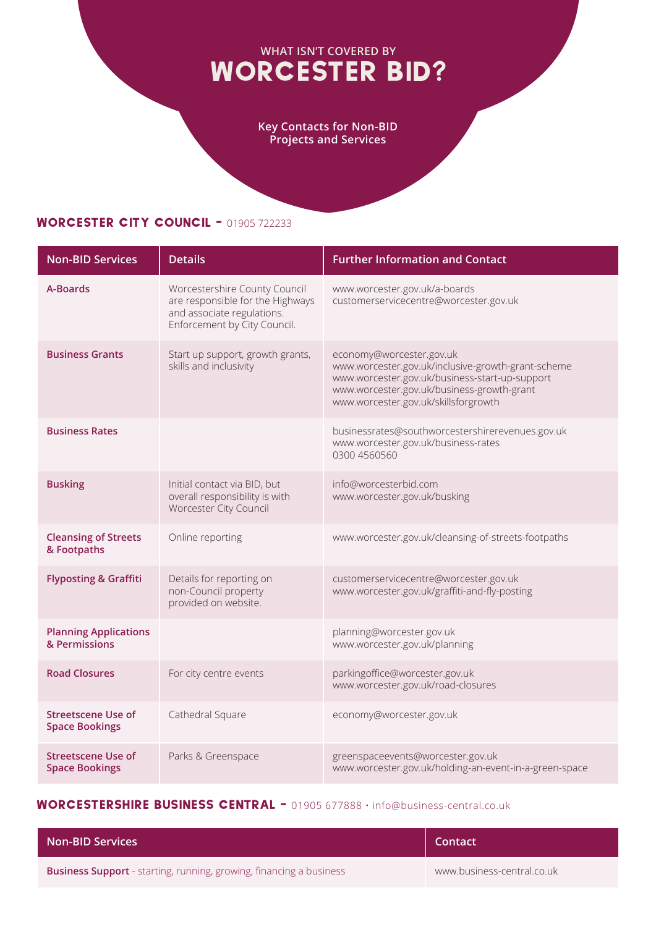### **WHAT ISN'T COVERED BY**  WORCESTER BID?

**Key Contacts for Non-BID Projects and Services** 

### WORCESTER CITY COUNCIL - 01905 722233

| <b>Non-BID Services</b>                            | <b>Details</b>                                                                                                                  | <b>Further Information and Contact</b>                                                                                                                                                                                 |
|----------------------------------------------------|---------------------------------------------------------------------------------------------------------------------------------|------------------------------------------------------------------------------------------------------------------------------------------------------------------------------------------------------------------------|
| A-Boards                                           | Worcestershire County Council<br>are responsible for the Highways<br>and associate regulations.<br>Enforcement by City Council. | www.worcester.gov.uk/a-boards<br>customerservicecentre@worcester.gov.uk                                                                                                                                                |
| <b>Business Grants</b>                             | Start up support, growth grants,<br>skills and inclusivity                                                                      | economy@worcester.gov.uk<br>www.worcester.gov.uk/inclusive-growth-grant-scheme<br>www.worcester.gov.uk/business-start-up-support<br>www.worcester.gov.uk/business-growth-grant<br>www.worcester.gov.uk/skillsforgrowth |
| <b>Business Rates</b>                              |                                                                                                                                 | businessrates@southworcestershirerevenues.gov.uk<br>www.worcester.gov.uk/business-rates<br>0300 4560560                                                                                                                |
| <b>Busking</b>                                     | Initial contact via BID, but<br>overall responsibility is with<br>Worcester City Council                                        | info@worcesterbid.com<br>www.worcester.gov.uk/busking                                                                                                                                                                  |
| <b>Cleansing of Streets</b><br>& Footpaths         | Online reporting                                                                                                                | www.worcester.gov.uk/cleansing-of-streets-footpaths                                                                                                                                                                    |
| <b>Flyposting &amp; Graffiti</b>                   | Details for reporting on<br>non-Council property<br>provided on website.                                                        | customerservicecentre@worcester.gov.uk<br>www.worcester.gov.uk/graffiti-and-fly-posting                                                                                                                                |
| <b>Planning Applications</b><br>& Permissions      |                                                                                                                                 | planning@worcester.gov.uk<br>www.worcester.gov.uk/planning                                                                                                                                                             |
| <b>Road Closures</b>                               | For city centre events                                                                                                          | parkingoffice@worcester.gov.uk<br>www.worcester.gov.uk/road-closures                                                                                                                                                   |
| Streetscene Use of<br><b>Space Bookings</b>        | Cathedral Square                                                                                                                | economy@worcester.gov.uk                                                                                                                                                                                               |
| <b>Streetscene Use of</b><br><b>Space Bookings</b> | Parks & Greenspace                                                                                                              | greenspaceevents@worcester.gov.uk<br>www.worcester.gov.uk/holding-an-event-in-a-green-space                                                                                                                            |

### WORCESTERSHIRE BUSINESS CENTRAL - 01905 677888 · info@business-central.co.uk

| <b>Non-BID Services</b>                                                    | Contact                    |
|----------------------------------------------------------------------------|----------------------------|
| <b>Business Support</b> - starting, running, growing, financing a business | www.business-central.co.uk |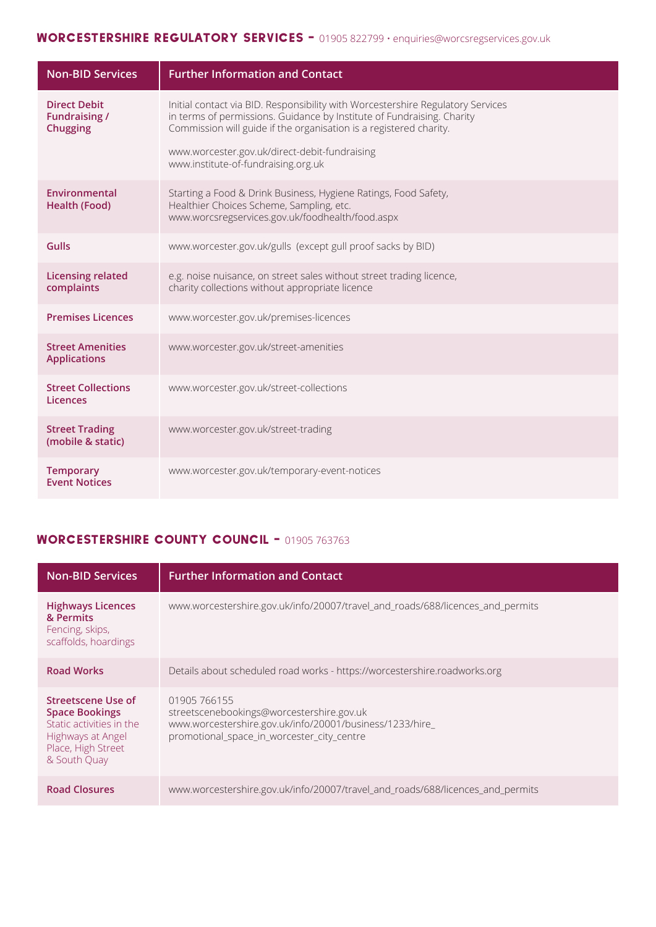### WORCESTERSHIRE REGULATORY SERVICES - 01905 822799 · enquiries@worcsregservices.gov.uk

| <b>Non-BID Services</b>                                        | <b>Further Information and Contact</b>                                                                                                                                                                                                                                                                                  |
|----------------------------------------------------------------|-------------------------------------------------------------------------------------------------------------------------------------------------------------------------------------------------------------------------------------------------------------------------------------------------------------------------|
| <b>Direct Debit</b><br><b>Fundraising /</b><br><b>Chugging</b> | Initial contact via BID. Responsibility with Worcestershire Regulatory Services<br>in terms of permissions. Guidance by Institute of Fundraising. Charity<br>Commission will guide if the organisation is a registered charity.<br>www.worcester.gov.uk/direct-debit-fundraising<br>www.institute-of-fundraising.org.uk |
| Environmental<br><b>Health (Food)</b>                          | Starting a Food & Drink Business, Hygiene Ratings, Food Safety,<br>Healthier Choices Scheme, Sampling, etc.<br>www.worcsregservices.gov.uk/foodhealth/food.aspx                                                                                                                                                         |
| Gulls                                                          | www.worcester.gov.uk/gulls (except gull proof sacks by BID)                                                                                                                                                                                                                                                             |
| <b>Licensing related</b><br>complaints                         | e.g. noise nuisance, on street sales without street trading licence,<br>charity collections without appropriate licence                                                                                                                                                                                                 |
| <b>Premises Licences</b>                                       | www.worcester.gov.uk/premises-licences                                                                                                                                                                                                                                                                                  |
| <b>Street Amenities</b><br><b>Applications</b>                 | www.worcester.gov.uk/street-amenities                                                                                                                                                                                                                                                                                   |
| <b>Street Collections</b><br>Licences                          | www.worcester.gov.uk/street-collections                                                                                                                                                                                                                                                                                 |
| <b>Street Trading</b><br>(mobile & static)                     | www.worcester.gov.uk/street-trading                                                                                                                                                                                                                                                                                     |
| <b>Temporary</b><br><b>Event Notices</b>                       | www.worcester.gov.uk/temporary-event-notices                                                                                                                                                                                                                                                                            |

### Worcestershire COUNTY COUNCIL - 01905 763763

| <b>Non-BID Services</b>                                                                                                            | <b>Further Information and Contact</b>                                                                                                                              |
|------------------------------------------------------------------------------------------------------------------------------------|---------------------------------------------------------------------------------------------------------------------------------------------------------------------|
| <b>Highways Licences</b><br>& Permits<br>Fencing, skips,<br>scaffolds, hoardings                                                   | www.worcestershire.gov.uk/info/20007/travel_and_roads/688/licences_and_permits                                                                                      |
| <b>Road Works</b>                                                                                                                  | Details about scheduled road works - https://worcestershire.roadworks.org                                                                                           |
| Streetscene Use of<br><b>Space Bookings</b><br>Static activities in the<br>Highways at Angel<br>Place, High Street<br>& South Quay | 01905 766155<br>streetscenebookings@worcestershire.gov.uk<br>www.worcestershire.gov.uk/info/20001/business/1233/hire_<br>promotional_space_in_worcester_city_centre |
| <b>Road Closures</b>                                                                                                               | www.worcestershire.gov.uk/info/20007/travel_and_roads/688/licences_and_permits                                                                                      |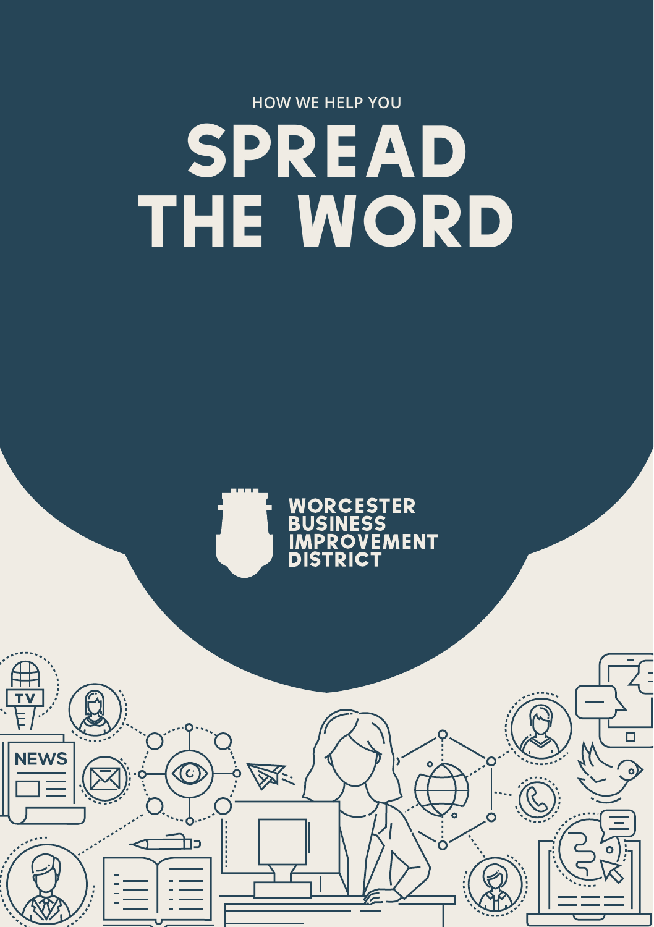## **HOW WE HELP YOU**  SPREAD THE WORD



 $\Box$ 

 $\circ$ 

<u> 併</u>  $\frac{1}{\sqrt{2}}$ 

**NEWS** 

 $\bigcirc$ 

כת

汉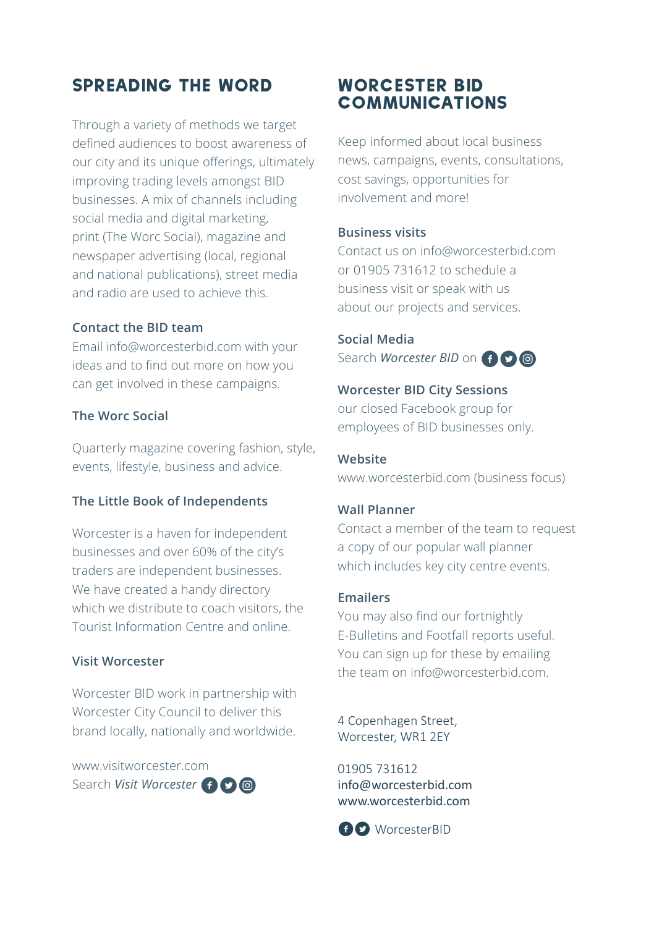### Spreading the Word

Through a variety of methods we target defined audiences to boost awareness of our city and its unique offerings, ultimately improving trading levels amongst BID businesses. A mix of channels including social media and digital marketing, print (The Worc Social), magazine and newspaper advertising (local, regional and national publications), street media and radio are used to achieve this.

### **Contact the BID team**

Email info@worcesterbid.com with your ideas and to find out more on how you can get involved in these campaigns.

### **The Worc Social**

Quarterly magazine covering fashion, style, events, lifestyle, business and advice.

### **The Little Book of Independents**

Worcester is a haven for independent businesses and over 60% of the city's traders are independent businesses. We have created a handy directory which we distribute to coach visitors, the Tourist Information Centre and online.

### **Visit Worcester**

Worcester BID work in partnership with Worcester City Council to deliver this brand locally, nationally and worldwide.

www.visitworcester.com Search *Visit Worcester*<sup>f</sup>

### Worcester BID **COMMUNICATIONS**

Keep informed about local business news, campaigns, events, consultations, cost savings, opportunities for involvement and more!

### **Business visits**

Contact us on info@worcesterbid.com or 01905 731612 to schedule a business visit or speak with us about our projects and services.

**Social Media** Search *Worcester BID* on **f**  $\odot$  **o** 

#### **Worcester BID City Sessions**

our closed Facebook group for employees of BID businesses only.

**Website** www.worcesterbid.com (business focus)

#### **Wall Planner**

Contact a member of the team to request a copy of our popular wall planner which includes key city centre events.

### **Emailers**

You may also find our fortnightly E-Bulletins and Footfall reports useful. You can sign up for these by emailing the team on info@worcesterbid.com.

4 Copenhagen Street, Worcester, WR1 2EY

01905 731612 info@worcesterbid.com www.worcesterbid.com

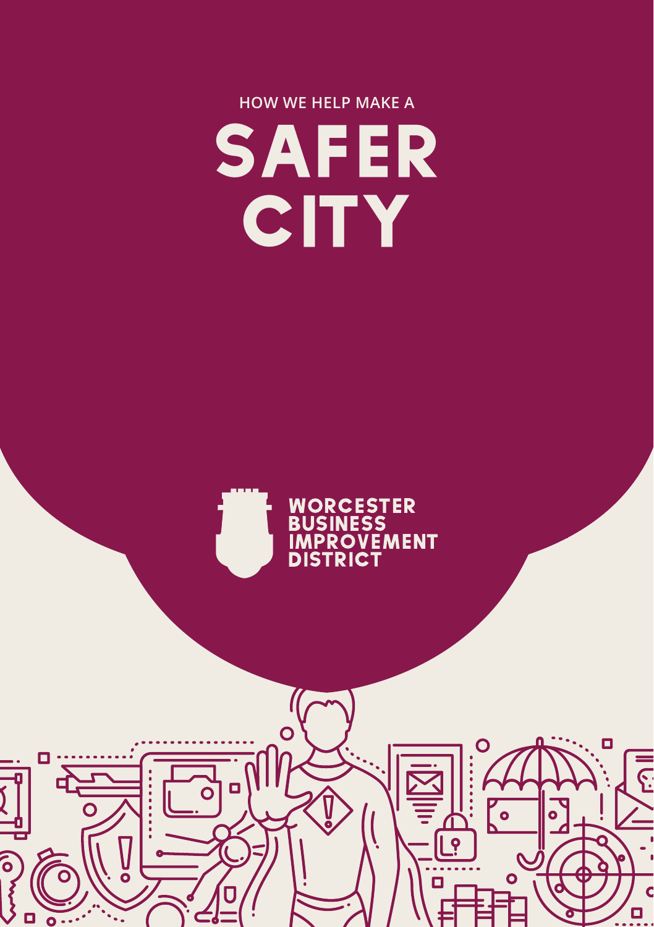## **HOW WE HELP MAKE A**  SAFER **CITY**



O

<u>[°</u>

Ó

О

 $\Gamma$ 

 $\overline{\varsigma}$ 

Ċ O

 $\overline{O}$ 

 $\Box$  $\overline{o}$ 

о

ō

Co vers

 $\square$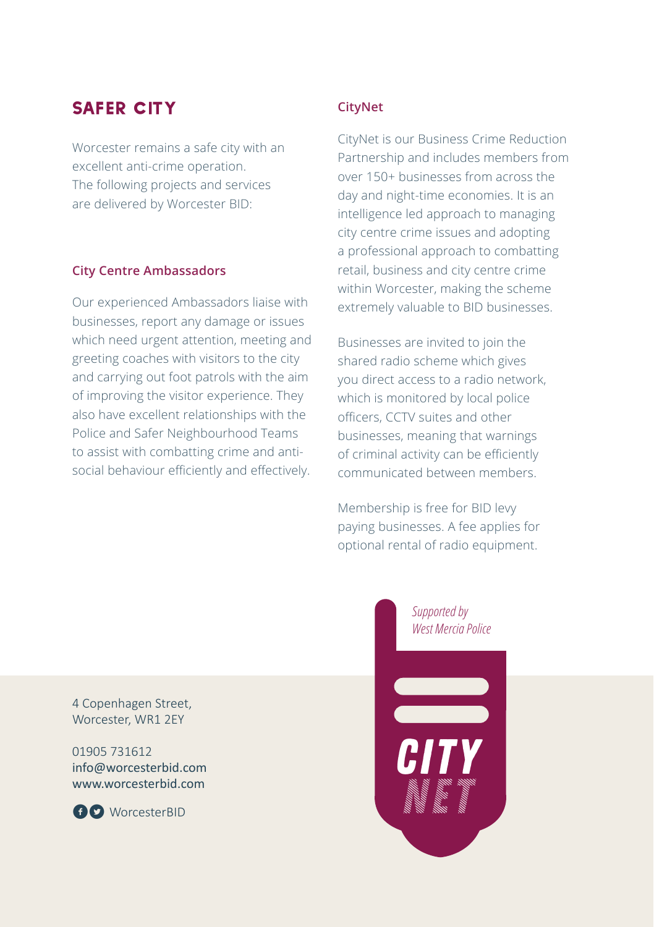### SAFER CITY

Worcester remains a safe city with an excellent anti-crime operation. The following projects and services are delivered by Worcester BID:

### **City Centre Ambassadors**

Our experienced Ambassadors liaise with businesses, report any damage or issues which need urgent attention, meeting and greeting coaches with visitors to the city and carrying out foot patrols with the aim of improving the visitor experience. They also have excellent relationships with the Police and Safer Neighbourhood Teams to assist with combatting crime and antisocial behaviour efficiently and effectively.

### **CityNet**

CityNet is our Business Crime Reduction Partnership and includes members from over 150+ businesses from across the day and night-time economies. It is an intelligence led approach to managing city centre crime issues and adopting a professional approach to combatting retail, business and city centre crime within Worcester, making the scheme extremely valuable to BID businesses.

Businesses are invited to join the shared radio scheme which gives you direct access to a radio network, which is monitored by local police officers, CCTV suites and other businesses, meaning that warnings of criminal activity can be efficiently communicated between members.

Membership is free for BID levy paying businesses. A fee applies for optional rental of radio equipment.

4 Copenhagen Street, Worcester, WR1 2EY

01905 731612 info@worcesterbid.com www.worcesterbid.com



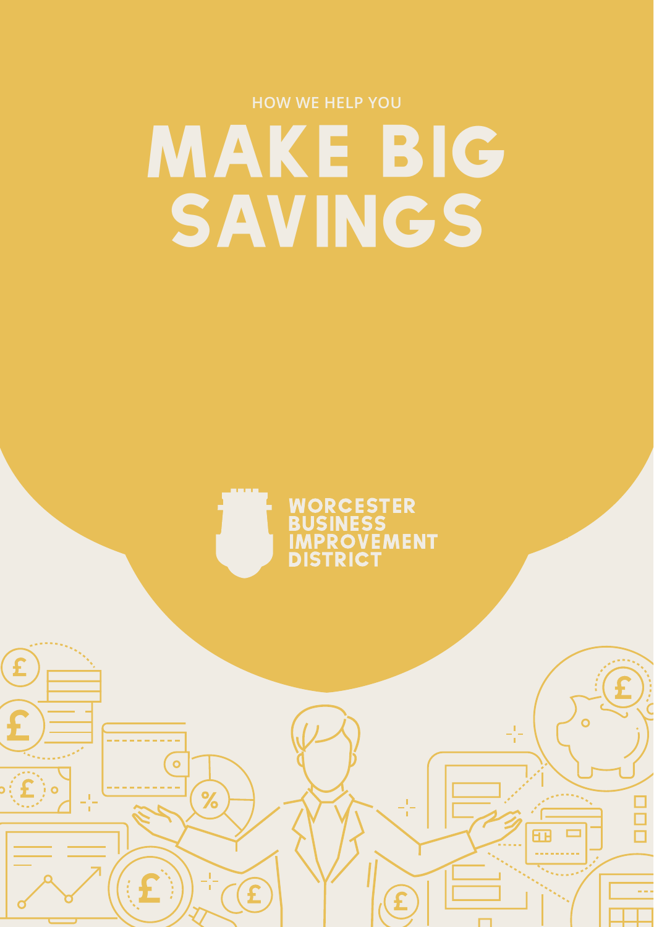# MAKE BIG SAVINGS



÷

000

 $\mathbf{f}$ 

 $\mathfrak{g}$ 

 $\overline{\mathbf{o}}$ 

f

 $%$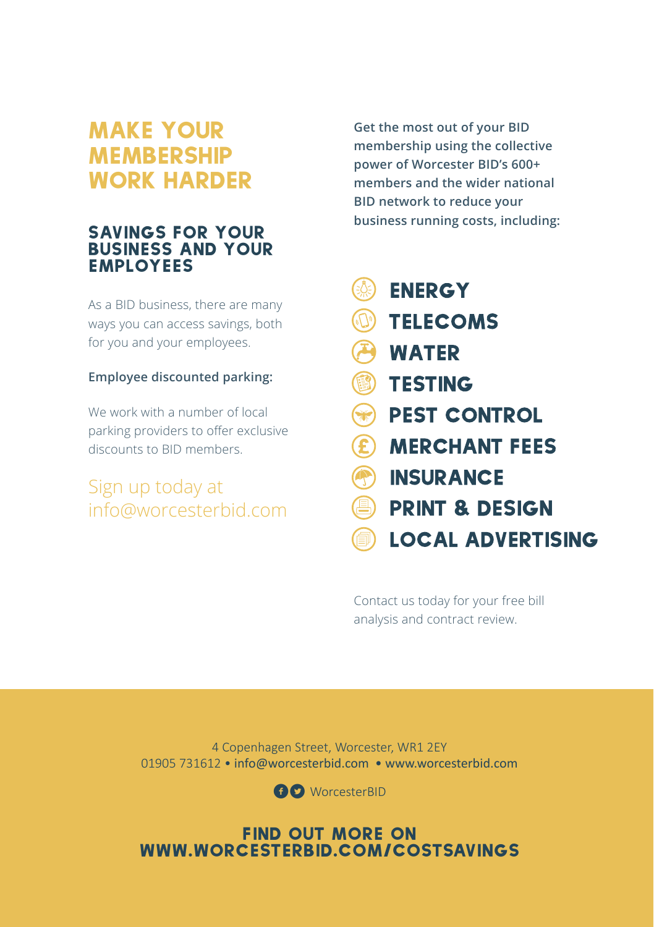### MAKE YOUR **MEMBERSHIP** WORK HARDER

### SAVINGS FOR YOUR BUSINESS AND YOUR EMPLOYEES

As a BID business, there are many ways you can access savings, both for you and your employees.

### **Employee discounted parking:**

We work with a number of local parking providers to offer exclusive discounts to BID members.

### Sign up today at info@worcesterbid.com

**Get the most out of your BID membership using the collective power of Worcester BID's 600+ members and the wider national BID network to reduce your business running costs, including:** 

- **ENERGY** EQE
- **TELECOMS**
- **WATER**
- **B** TESTING
- **BEST CONTROL**
- **E MERCHANT FEES**
- **INSURANCE**
- **PRINT & DESIGN**
- **LOCAL ADVERTISING**

Contact us today for your free bill analysis and contract review.

4 Copenhagen Street, Worcester, WR1 2EY 01905 731612 • info@worcesterbid.com • www.worcesterbid.com

**fl** WorcesterBID

### Find out more on www.worcesterbid.com/costsavings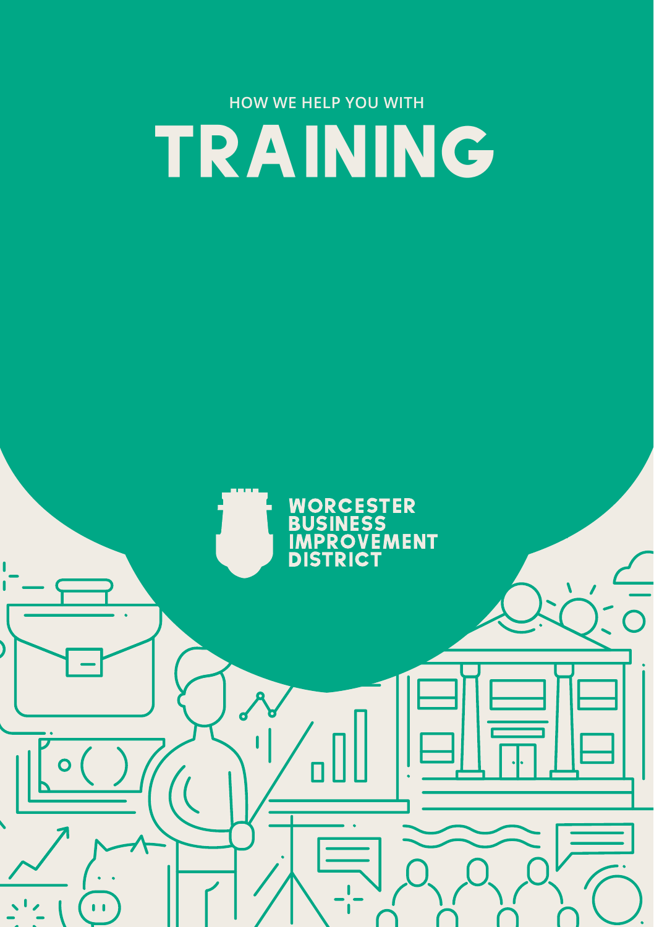## **HOW WE HELP YOU WITH**  TRAINING

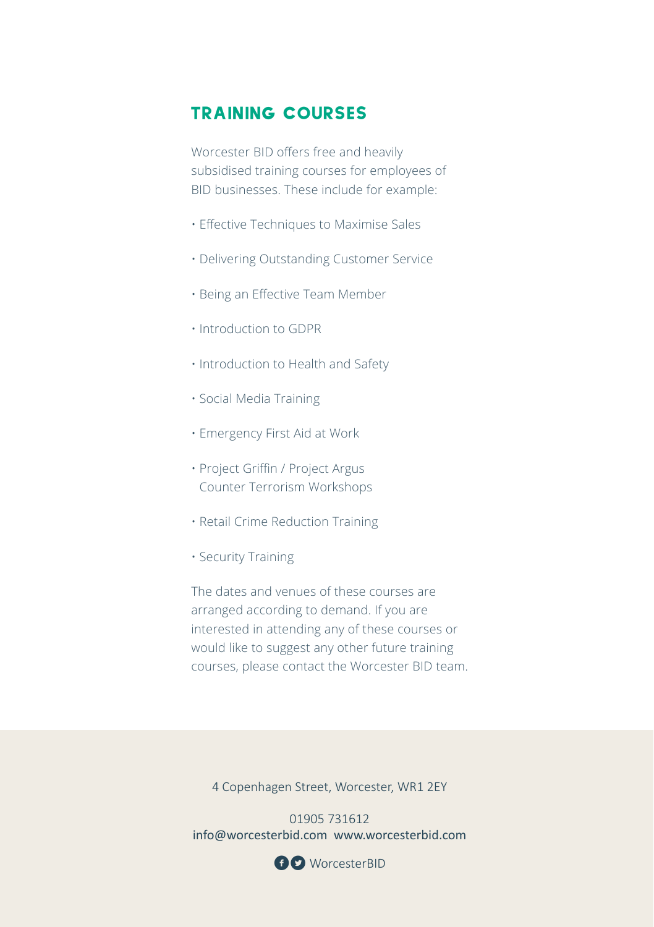### TRAINING COURSES

Worcester BID offers free and heavily subsidised training courses for employees of BID businesses. These include for example:

- Effective Techniques to Maximise Sales
- Delivering Outstanding Customer Service
- Being an Effective Team Member
- Introduction to GDPR
- Introduction to Health and Safety
- Social Media Training
- Emergency First Aid at Work
- Project Griffin / Project Argus Counter Terrorism Workshops
- Retail Crime Reduction Training
- Security Training

The dates and venues of these courses are arranged according to demand. If you are interested in attending any of these courses or would like to suggest any other future training courses, please contact the Worcester BID team.

4 Copenhagen Street, Worcester, WR1 2EY

01905 731612 info@worcesterbid.com www.worcesterbid.com

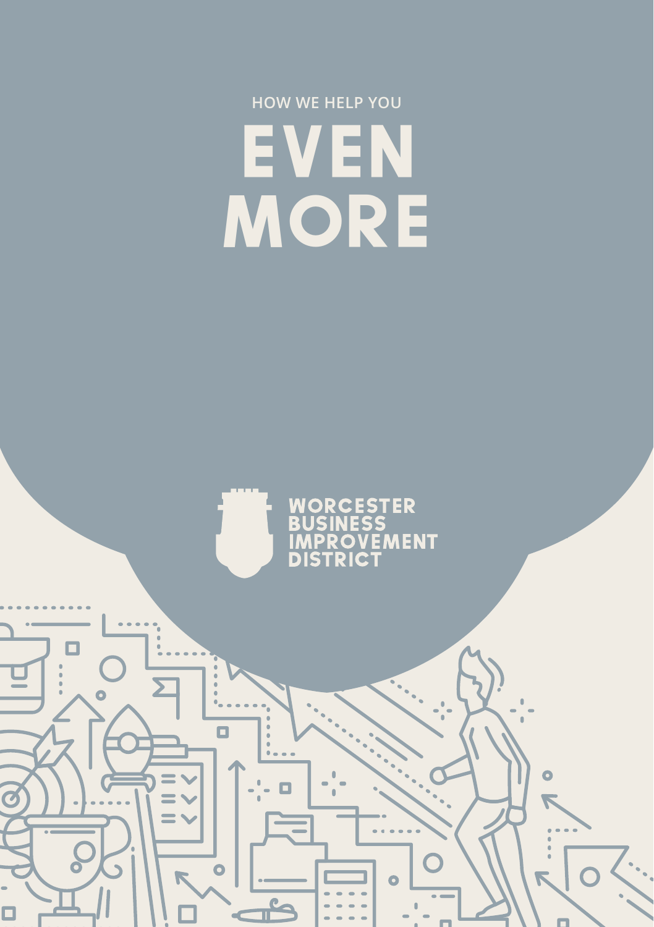## **HOW WE HELP YOU**  EVEN **MORE**